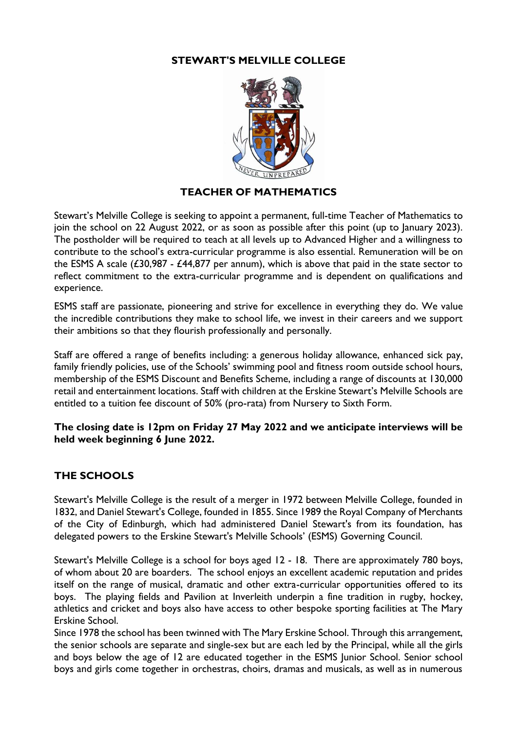#### **STEWART'S MELVILLE COLLEGE**



## **TEACHER OF MATHEMATICS**

Stewart's Melville College is seeking to appoint a permanent, full-time Teacher of Mathematics to join the school on 22 August 2022, or as soon as possible after this point (up to January 2023). The postholder will be required to teach at all levels up to Advanced Higher and a willingness to contribute to the school's extra-curricular programme is also essential. Remuneration will be on the ESMS A scale  $(£30,987 - £44,877$  per annum), which is above that paid in the state sector to reflect commitment to the extra-curricular programme and is dependent on qualifications and experience.

ESMS staff are passionate, pioneering and strive for excellence in everything they do. We value the incredible contributions they make to school life, we invest in their careers and we support their ambitions so that they flourish professionally and personally.

Staff are offered a range of benefits including: a generous holiday allowance, enhanced sick pay, family friendly policies, use of the Schools' swimming pool and fitness room outside school hours, membership of the ESMS Discount and Benefits Scheme, including a range of discounts at 130,000 retail and entertainment locations. Staff with children at the Erskine Stewart's Melville Schools are entitled to a tuition fee discount of 50% (pro-rata) from Nursery to Sixth Form.

#### **The closing date is 12pm on Friday 27 May 2022 and we anticipate interviews will be held week beginning 6 June 2022.**

### **THE SCHOOLS**

Stewart's Melville College is the result of a merger in 1972 between Melville College, founded in 1832, and Daniel Stewart's College, founded in 1855. Since 1989 the Royal Company of Merchants of the City of Edinburgh, which had administered Daniel Stewart's from its foundation, has delegated powers to the Erskine Stewart's Melville Schools' (ESMS) Governing Council.

Stewart's Melville College is a school for boys aged 12 - 18. There are approximately 780 boys, of whom about 20 are boarders. The school enjoys an excellent academic reputation and prides itself on the range of musical, dramatic and other extra-curricular opportunities offered to its boys. The playing fields and Pavilion at Inverleith underpin a fine tradition in rugby, hockey, athletics and cricket and boys also have access to other bespoke sporting facilities at The Mary Erskine School.

Since 1978 the school has been twinned with The Mary Erskine School. Through this arrangement, the senior schools are separate and single-sex but are each led by the Principal, while all the girls and boys below the age of 12 are educated together in the ESMS Junior School. Senior school boys and girls come together in orchestras, choirs, dramas and musicals, as well as in numerous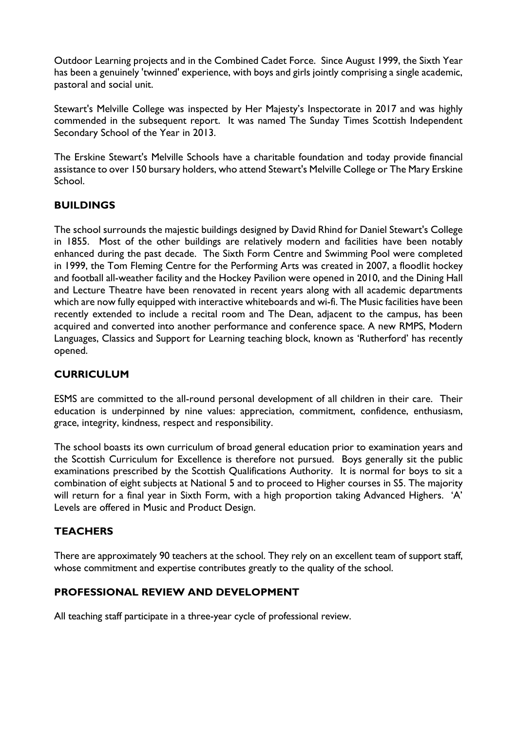Outdoor Learning projects and in the Combined Cadet Force. Since August 1999, the Sixth Year has been a genuinely 'twinned' experience, with boys and girls jointly comprising a single academic, pastoral and social unit.

Stewart's Melville College was inspected by Her Majesty's Inspectorate in 2017 and was highly commended in the subsequent report. It was named The Sunday Times Scottish Independent Secondary School of the Year in 2013.

The Erskine Stewart's Melville Schools have a charitable foundation and today provide financial assistance to over 150 bursary holders, who attend Stewart's Melville College or The Mary Erskine School.

### **BUILDINGS**

The school surrounds the majestic buildings designed by David Rhind for Daniel Stewart's College in 1855. Most of the other buildings are relatively modern and facilities have been notably enhanced during the past decade. The Sixth Form Centre and Swimming Pool were completed in 1999, the Tom Fleming Centre for the Performing Arts was created in 2007, a floodlit hockey and football all-weather facility and the Hockey Pavilion were opened in 2010, and the Dining Hall and Lecture Theatre have been renovated in recent years along with all academic departments which are now fully equipped with interactive whiteboards and wi-fi. The Music facilities have been recently extended to include a recital room and The Dean, adjacent to the campus, has been acquired and converted into another performance and conference space. A new RMPS, Modern Languages, Classics and Support for Learning teaching block, known as 'Rutherford' has recently opened.

### **CURRICULUM**

ESMS are committed to the all-round personal development of all children in their care. Their education is underpinned by nine values: appreciation, commitment, confidence, enthusiasm, grace, integrity, kindness, respect and responsibility.

The school boasts its own curriculum of broad general education prior to examination years and the Scottish Curriculum for Excellence is therefore not pursued. Boys generally sit the public examinations prescribed by the Scottish Qualifications Authority. It is normal for boys to sit a combination of eight subjects at National 5 and to proceed to Higher courses in S5. The majority will return for a final year in Sixth Form, with a high proportion taking Advanced Highers. 'A' Levels are offered in Music and Product Design.

### **TEACHERS**

There are approximately 90 teachers at the school. They rely on an excellent team of support staff, whose commitment and expertise contributes greatly to the quality of the school.

### **PROFESSIONAL REVIEW AND DEVELOPMENT**

All teaching staff participate in a three-year cycle of professional review.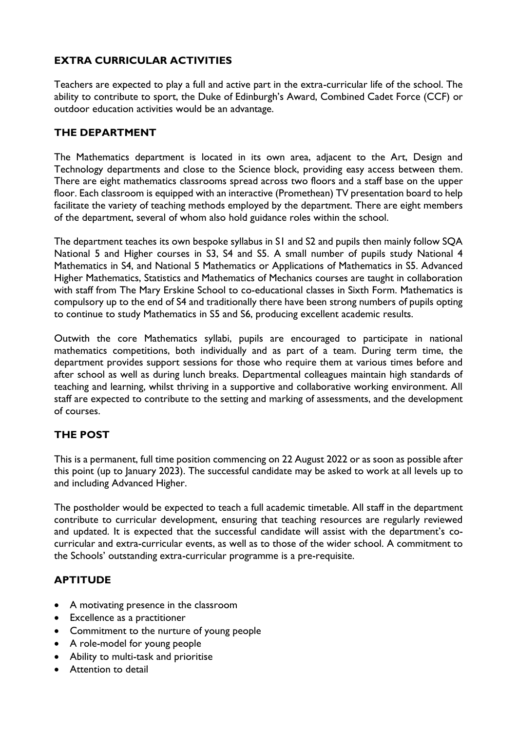# **EXTRA CURRICULAR ACTIVITIES**

Teachers are expected to play a full and active part in the extra-curricular life of the school. The ability to contribute to sport, the Duke of Edinburgh's Award, Combined Cadet Force (CCF) or outdoor education activities would be an advantage.

### **THE DEPARTMENT**

The Mathematics department is located in its own area, adjacent to the Art, Design and Technology departments and close to the Science block, providing easy access between them. There are eight mathematics classrooms spread across two floors and a staff base on the upper floor. Each classroom is equipped with an interactive (Promethean) TV presentation board to help facilitate the variety of teaching methods employed by the department. There are eight members of the department, several of whom also hold guidance roles within the school.

The department teaches its own bespoke syllabus in S1 and S2 and pupils then mainly follow SQA National 5 and Higher courses in S3, S4 and S5. A small number of pupils study National 4 Mathematics in S4, and National 5 Mathematics or Applications of Mathematics in S5. Advanced Higher Mathematics, Statistics and Mathematics of Mechanics courses are taught in collaboration with staff from The Mary Erskine School to co-educational classes in Sixth Form. Mathematics is compulsory up to the end of S4 and traditionally there have been strong numbers of pupils opting to continue to study Mathematics in S5 and S6, producing excellent academic results.

Outwith the core Mathematics syllabi, pupils are encouraged to participate in national mathematics competitions, both individually and as part of a team. During term time, the department provides support sessions for those who require them at various times before and after school as well as during lunch breaks. Departmental colleagues maintain high standards of teaching and learning, whilst thriving in a supportive and collaborative working environment. All staff are expected to contribute to the setting and marking of assessments, and the development of courses.

# **THE POST**

This is a permanent, full time position commencing on 22 August 2022 or as soon as possible after this point (up to January 2023). The successful candidate may be asked to work at all levels up to and including Advanced Higher.

The postholder would be expected to teach a full academic timetable. All staff in the department contribute to curricular development, ensuring that teaching resources are regularly reviewed and updated. It is expected that the successful candidate will assist with the department's cocurricular and extra-curricular events, as well as to those of the wider school. A commitment to the Schools' outstanding extra-curricular programme is a pre-requisite.

### **APTITUDE**

- A motivating presence in the classroom
- Excellence as a practitioner
- Commitment to the nurture of young people
- A role-model for young people
- Ability to multi-task and prioritise
- Attention to detail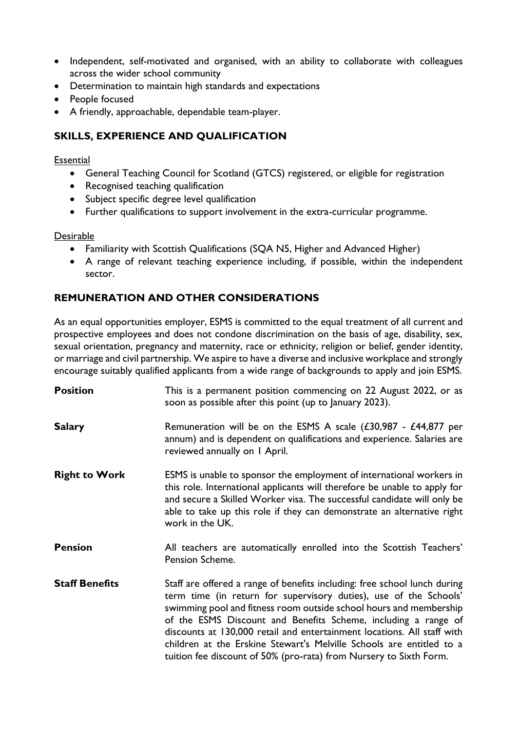- Independent, self-motivated and organised, with an ability to collaborate with colleagues across the wider school community
- Determination to maintain high standards and expectations
- People focused
- A friendly, approachable, dependable team-player.

### **SKILLS, EXPERIENCE AND QUALIFICATION**

#### **Essential**

- General Teaching Council for Scotland (GTCS) registered, or eligible for registration
- Recognised teaching qualification
- Subject specific degree level qualification
- Further qualifications to support involvement in the extra-curricular programme.

#### Desirable

- Familiarity with Scottish Qualifications (SQA N5, Higher and Advanced Higher)
- A range of relevant teaching experience including, if possible, within the independent sector.

## **REMUNERATION AND OTHER CONSIDERATIONS**

As an equal opportunities employer, ESMS is committed to the equal treatment of all current and prospective employees and does not condone discrimination on the basis of age, disability, sex, sexual orientation, pregnancy and maternity, race or ethnicity, religion or belief, gender identity, or marriage and civil partnership. We aspire to have a diverse and inclusive workplace and strongly encourage suitably qualified applicants from a wide range of backgrounds to apply and join ESMS.

| <b>Position</b>       | This is a permanent position commencing on 22 August 2022, or as<br>soon as possible after this point (up to January 2023).                                                                                                                                                                                                                                                                                                                                                                                     |
|-----------------------|-----------------------------------------------------------------------------------------------------------------------------------------------------------------------------------------------------------------------------------------------------------------------------------------------------------------------------------------------------------------------------------------------------------------------------------------------------------------------------------------------------------------|
| <b>Salary</b>         | Remuneration will be on the ESMS A scale $(£30,987 - £44,877$ per<br>annum) and is dependent on qualifications and experience. Salaries are<br>reviewed annually on I April.                                                                                                                                                                                                                                                                                                                                    |
| <b>Right to Work</b>  | ESMS is unable to sponsor the employment of international workers in<br>this role. International applicants will therefore be unable to apply for<br>and secure a Skilled Worker visa. The successful candidate will only be<br>able to take up this role if they can demonstrate an alternative right<br>work in the UK.                                                                                                                                                                                       |
| <b>Pension</b>        | All teachers are automatically enrolled into the Scottish Teachers'<br>Pension Scheme.                                                                                                                                                                                                                                                                                                                                                                                                                          |
| <b>Staff Benefits</b> | Staff are offered a range of benefits including: free school lunch during<br>term time (in return for supervisory duties), use of the Schools'<br>swimming pool and fitness room outside school hours and membership<br>of the ESMS Discount and Benefits Scheme, including a range of<br>discounts at 130,000 retail and entertainment locations. All staff with<br>children at the Erskine Stewart's Melville Schools are entitled to a<br>tuition fee discount of 50% (pro-rata) from Nursery to Sixth Form. |